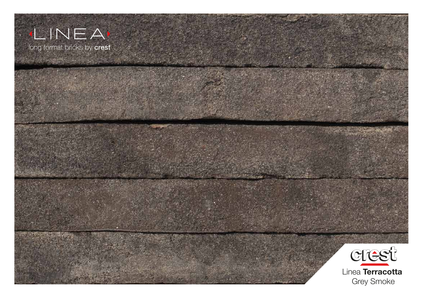